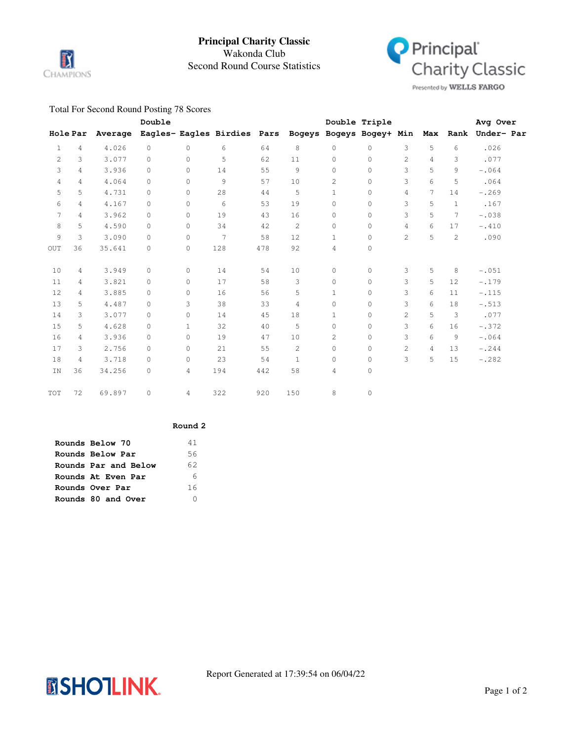

# Second Round Course Statistics Wakonda Club **Principal Charity Classic**



Presented by WELLS FARGO

### Total For Second Round Posting 78 Scores

|              |                 |         | Double   |              |                                                      |     |              |                | Double Triple |                |                |              | Avg Over            |  |
|--------------|-----------------|---------|----------|--------------|------------------------------------------------------|-----|--------------|----------------|---------------|----------------|----------------|--------------|---------------------|--|
|              | <b>Hole Par</b> | Average |          |              | Eagles- Eagles Birdies Pars Bogeys Bogeys Bogey+ Min |     |              |                |               |                |                |              | Max Rank Under- Par |  |
| $\mathbf{1}$ | $\overline{4}$  | 4.026   | $\circ$  | $\Omega$     | 6                                                    | 64  | 8            | $\circ$        | $\circ$       | 3              | 5              | 6            | .026                |  |
| 2            | 3               | 3.077   | $\Omega$ | $\Omega$     | 5                                                    | 62  | 11           | $\Omega$       | $\circ$       | $\overline{c}$ | 4              | 3            | .077                |  |
| 3            | 4               | 3.936   | $\circ$  | $\circ$      | 14                                                   | 55  | 9            | $\circ$        | $\mathbf 0$   | 3              | 5              | 9            | $-.064$             |  |
| 4            | 4               | 4.064   | 0        | $\circ$      | $\mathcal{G}$                                        | 57  | 10           | $\overline{c}$ | $\mathbf 0$   | 3              | 6              | 5            | .064                |  |
| 5            | 5               | 4.731   | $\circ$  | $\circ$      | 28                                                   | 44  | 5            | $\mathbf{1}$   | $\circ$       | 4              | 7              | 14           | $-.269$             |  |
| 6            | 4               | 4.167   | $\circ$  | $\circ$      | 6                                                    | 53  | 19           | $\circ$        | $\circ$       | 3              | 5              | $\mathbf{1}$ | .167                |  |
| 7            | 4               | 3.962   | $\circ$  | $\circ$      | 19                                                   | 43  | 16           | 0              | $\circ$       | 3              | 5              | 7            | $-.038$             |  |
| 8            | 5               | 4.590   | 0        | $\circ$      | 34                                                   | 42  | $\mathbf{2}$ | 0              | 0             | 4              | 6              | 17           | $-.410$             |  |
| 9            | 3               | 3.090   | 0        | $\circ$      | $\overline{7}$                                       | 58  | 12           | $\mathbf{1}$   | $\circ$       | 2              | 5              | 2            | .090                |  |
| OUT          | 36              | 35.641  | 0        | 0            | 128                                                  | 478 | 92           | 4              | $\circ$       |                |                |              |                     |  |
| 10           | 4               | 3.949   | $\circ$  | $\circ$      | 14                                                   | 54  | 10           | $\circ$        | $\circ$       | 3              | 5              | 8            | $-.051$             |  |
| 11           | 4               | 3.821   | $\circ$  | $\circ$      | 17                                                   | 58  | 3            | $\circ$        | $\circ$       | 3              | 5              | 12           | $-.179$             |  |
| 12           | 4               | 3.885   | $\Omega$ | $\Omega$     | 16                                                   | 56  | 5            | $\mathbf{1}$   | $\circ$       | 3              | 6              | 11           | $-.115$             |  |
| 13           | 5               | 4.487   | $\Omega$ | 3            | 38                                                   | 33  | 4            | $\Omega$       | $\circ$       | 3              | 6              | 18           | $-.513$             |  |
| 14           | 3               | 3.077   | 0        | $\circ$      | 14                                                   | 45  | 18           | $\mathbf{1}$   | $\circ$       | $\overline{c}$ | 5              | 3            | .077                |  |
| 15           | 5               | 4.628   | 0        | $\mathbf{1}$ | 32                                                   | 40  | 5            | 0              | $\circ$       | 3              | 6              | 16           | $-.372$             |  |
| 16           | 4               | 3.936   | $\Omega$ | $\Omega$     | 19                                                   | 47  | 10           | $\overline{c}$ | $\circ$       | 3              | 6              | 9            | $-.064$             |  |
| 17           | 3               | 2.756   | 0        | $\circ$      | 21                                                   | 55  | $\mathbf{2}$ | $\circ$        | $\circ$       | $\overline{2}$ | $\overline{4}$ | 13           | $-.244$             |  |
| 18           | 4               | 3.718   | $\circ$  | $\circ$      | 23                                                   | 54  | $\mathbf{1}$ | 0              | $\mathbb O$   | 3              | 5              | 15           | $-.282$             |  |
| IN           | 36              | 34.256  | 0        | 4            | 194                                                  | 442 | 58           | 4              | $\circ$       |                |                |              |                     |  |
| TOT          | 72              | 69.897  | $\circ$  | 4            | 322                                                  | 920 | 150          | 8              | $\mathbb O$   |                |                |              |                     |  |

#### **Round 2**

| Rounds Below 70      | 41  |
|----------------------|-----|
| Rounds Below Par     | 56. |
| Rounds Par and Below | 62  |
| Rounds At Even Par   | 6   |
| Rounds Over Par      | 16  |
| Rounds 80 and Over   |     |